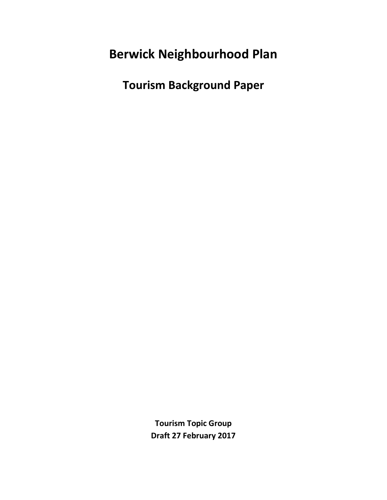# **Berwick Neighbourhood Plan**

**Tourism Background Paper**

**Tourism Topic Group Draft 27 February 2017**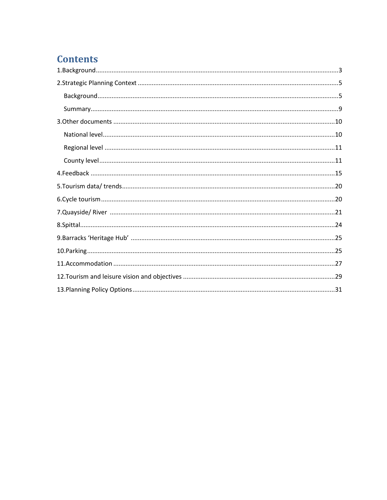## **Contents**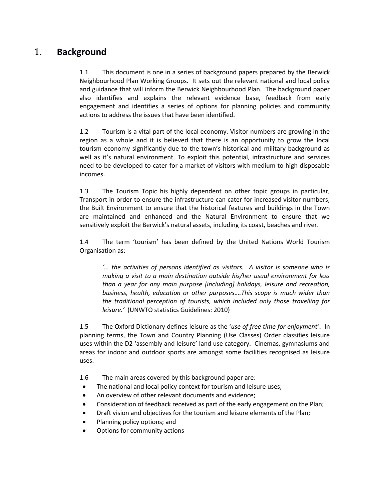## <span id="page-2-0"></span>1. **Background**

1.1 This document is one in a series of background papers prepared by the Berwick Neighbourhood Plan Working Groups. It sets out the relevant national and local policy and guidance that will inform the Berwick Neighbourhood Plan. The background paper also identifies and explains the relevant evidence base, feedback from early engagement and identifies a series of options for planning policies and community actions to address the issues that have been identified.

1.2 Tourism is a vital part of the local economy. Visitor numbers are growing in the region as a whole and it is believed that there is an opportunity to grow the local tourism economy significantly due to the town's historical and military background as well as it's natural environment. To exploit this potential, infrastructure and services need to be developed to cater for a market of visitors with medium to high disposable incomes.

1.3 The Tourism Topic his highly dependent on other topic groups in particular, Transport in order to ensure the infrastructure can cater for increased visitor numbers, the Built Environment to ensure that the historical features and buildings in the Town are maintained and enhanced and the Natural Environment to ensure that we sensitively exploit the Berwick's natural assets, including its coast, beaches and river.

1.4 The term 'tourism' has been defined by the United Nations World Tourism Organisation as:

*'… the activities of persons identified as visitors. A visitor is someone who is making a visit to a main destination outside his/her usual environment for less than a year for any main purpose [including] holidays, leisure and recreation, business, health, education or other purposes….This scope is much wider than the traditional perception of tourists, which included only those travelling for leisure.'* (UNWTO statistics Guidelines: 2010)

1.5 The Oxford Dictionary defines leisure as the '*use of free time for enjoyment'*. In planning terms, the Town and Country Planning (Use Classes) Order classifies leisure uses within the D2 'assembly and leisure' land use category. Cinemas, gymnasiums and areas for indoor and outdoor sports are amongst some facilities recognised as leisure uses.

1.6 The main areas covered by this background paper are:

- The national and local policy context for tourism and leisure uses;
- An overview of other relevant documents and evidence;
- Consideration of feedback received as part of the early engagement on the Plan;
- Draft vision and objectives for the tourism and leisure elements of the Plan;
- Planning policy options; and
- Options for community actions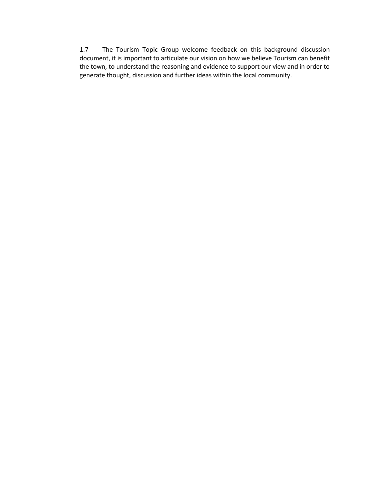1.7 The Tourism Topic Group welcome feedback on this background discussion document, it is important to articulate our vision on how we believe Tourism can benefit the town, to understand the reasoning and evidence to support our view and in order to generate thought, discussion and further ideas within the local community.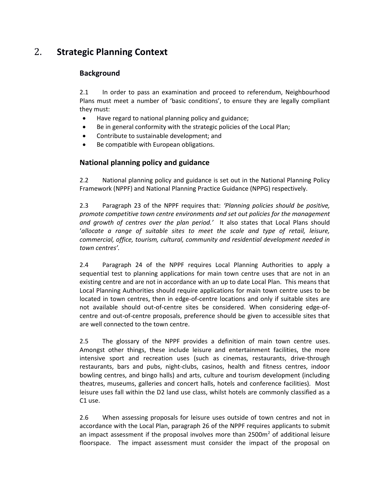## <span id="page-4-0"></span>2. **Strategic Planning Context**

## <span id="page-4-1"></span>**Background**

2.1 In order to pass an examination and proceed to referendum, Neighbourhood Plans must meet a number of 'basic conditions', to ensure they are legally compliant they must:

- Have regard to national planning policy and guidance;
- **Be in general conformity with the strategic policies of the Local Plan;**
- Contribute to sustainable development; and
- Be compatible with European obligations.

## **National planning policy and guidance**

2.2 National planning policy and guidance is set out in the National Planning Policy Framework (NPPF) and National Planning Practice Guidance (NPPG) respectively.

2.3 Paragraph 23 of the NPPF requires that: *'Planning policies should be positive, promote competitive town centre environments and set out policies for the management and growth of centres over the plan period.'* It also states that Local Plans should '*allocate a range of suitable sites to meet the scale and type of retail, leisure, commercial, office, tourism, cultural, community and residential development needed in town centres'.*

2.4 Paragraph 24 of the NPPF requires Local Planning Authorities to apply a sequential test to planning applications for main town centre uses that are not in an existing centre and are not in accordance with an up to date Local Plan. This means that Local Planning Authorities should require applications for main town centre uses to be located in town centres, then in edge-of-centre locations and only if suitable sites are not available should out-of-centre sites be considered. When considering edge-ofcentre and out-of-centre proposals, preference should be given to accessible sites that are well connected to the town centre.

2.5 The glossary of the NPPF provides a definition of main town centre uses. Amongst other things, these include leisure and entertainment facilities, the more intensive sport and recreation uses (such as cinemas, restaurants, drive-through restaurants, bars and pubs, night-clubs, casinos, health and fitness centres, indoor bowling centres, and bingo halls) and arts, culture and tourism development (including theatres, museums, galleries and concert halls, hotels and conference facilities). Most leisure uses fall within the D2 land use class, whilst hotels are commonly classified as a C1 use.

2.6 When assessing proposals for leisure uses outside of town centres and not in accordance with the Local Plan, paragraph 26 of the NPPF requires applicants to submit an impact assessment if the proposal involves more than  $2500m<sup>2</sup>$  of additional leisure floorspace. The impact assessment must consider the impact of the proposal on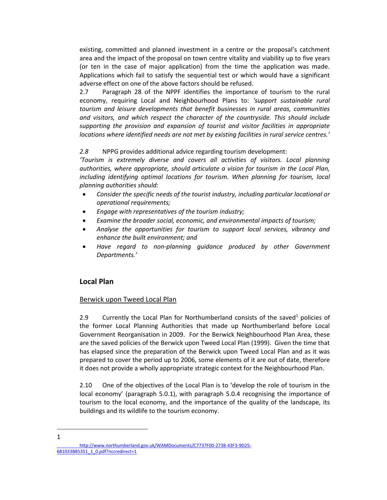existing, committed and planned investment in a centre or the proposal's catchment area and the impact of the proposal on town centre vitality and viability up to five years (or ten in the case of major application) from the time the application was made. Applications which fail to satisfy the sequential test or which would have a significant adverse effect on one of the above factors should be refused.

2.7 Paragraph 28 of the NPPF identifies the importance of tourism to the rural economy, requiring Local and Neighbourhood Plans to: *'support sustainable rural tourism and leisure developments that benefit businesses in rural areas, communities and visitors, and which respect the character of the countryside. This should include supporting the provision and expansion of tourist and visitor facilities in appropriate locations where identified needs are not met by existing facilities in rural service centres.'*

### *2.8* NPPG provides additional advice regarding tourism development:

*'Tourism is extremely diverse and covers all activities of visitors. Local planning authorities, where appropriate, should articulate a vision for tourism in the Local Plan,*  including identifying optimal locations for tourism. When planning for tourism, local *planning authorities should:*

- *Consider the specific needs of the tourist industry, including particular locational or operational requirements;*
- *Engage with representatives of the tourism industry;*
- *Examine the broader social, economic, and environmental impacts of tourism;*
- *Analyse the opportunities for tourism to support local services, vibrancy and enhance the built environment; and*
- *Have regard to non-planning guidance produced by other Government Departments.'*

## **Local Plan**

## Berwick upon Tweed Local Plan

2.9 Currently the Local Plan for Northumberland consists of the saved<sup>1</sup> policies of the former Local Planning Authorities that made up Northumberland before Local Government Reorganisation in 2009. For the Berwick Neighbourhood Plan Area, these are the saved policies of the Berwick upon Tweed Local Plan (1999). Given the time that has elapsed since the preparation of the Berwick upon Tweed Local Plan and as it was prepared to cover the period up to 2006, some elements of it are out of date, therefore it does not provide a wholly appropriate strategic context for the Neighbourhood Plan.

2.10 One of the objectives of the Local Plan is to 'develop the role of tourism in the local economy' (paragraph 5.0.1), with paragraph 5.0.4 recognising the importance of tourism to the local economy, and the importance of the quality of the landscape, its buildings and its wildlife to the tourism economy.

 $\overline{a}$ 1

[http://www.northumberland.gov.uk/WAMDocuments/C7737F00-2738-43F3-9D25-](http://www.northumberland.gov.uk/WAMDocuments/C7737F00-2738-43F3-9D25-681033B85351_1_0.pdf?nccredirect=1) [681033B85351\\_1\\_0.pdf?nccredirect=1](http://www.northumberland.gov.uk/WAMDocuments/C7737F00-2738-43F3-9D25-681033B85351_1_0.pdf?nccredirect=1)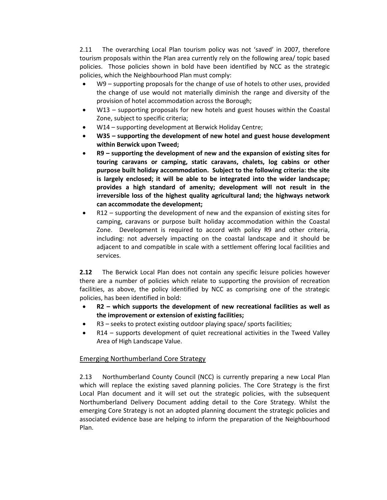2.11 The overarching Local Plan tourism policy was not 'saved' in 2007, therefore tourism proposals within the Plan area currently rely on the following area/ topic based policies. Those policies shown in bold have been identified by NCC as the strategic policies, which the Neighbourhood Plan must comply:

- W9 supporting proposals for the change of use of hotels to other uses, provided the change of use would not materially diminish the range and diversity of the provision of hotel accommodation across the Borough;
- W13 supporting proposals for new hotels and guest houses within the Coastal Zone, subject to specific criteria;
- W14 supporting development at Berwick Holiday Centre;
- **W35 – supporting the development of new hotel and guest house development within Berwick upon Tweed;**
- **R9 – supporting the development of new and the expansion of existing sites for touring caravans or camping, static caravans, chalets, log cabins or other purpose built holiday accommodation. Subject to the following criteria: the site is largely enclosed; it will be able to be integrated into the wider landscape; provides a high standard of amenity; development will not result in the irreversible loss of the highest quality agricultural land; the highways network can accommodate the development;**
- R12 supporting the development of new and the expansion of existing sites for camping, caravans or purpose built holiday accommodation within the Coastal Zone. Development is required to accord with policy R9 and other criteria, including: not adversely impacting on the coastal landscape and it should be adjacent to and compatible in scale with a settlement offering local facilities and services.

**2.12** The Berwick Local Plan does not contain any specific leisure policies however there are a number of policies which relate to supporting the provision of recreation facilities, as above, the policy identified by NCC as comprising one of the strategic policies, has been identified in bold:

- **R2 – which supports the development of new recreational facilities as well as the improvement or extension of existing facilities;**
- R3 seeks to protect existing outdoor playing space/ sports facilities;
- R14 supports development of quiet recreational activities in the Tweed Valley Area of High Landscape Value.

## Emerging Northumberland Core Strategy

2.13 Northumberland County Council (NCC) is currently preparing a new Local Plan which will replace the existing saved planning policies. The Core Strategy is the first Local Plan document and it will set out the strategic policies, with the subsequent Northumberland Delivery Document adding detail to the Core Strategy. Whilst the emerging Core Strategy is not an adopted planning document the strategic policies and associated evidence base are helping to inform the preparation of the Neighbourhood Plan.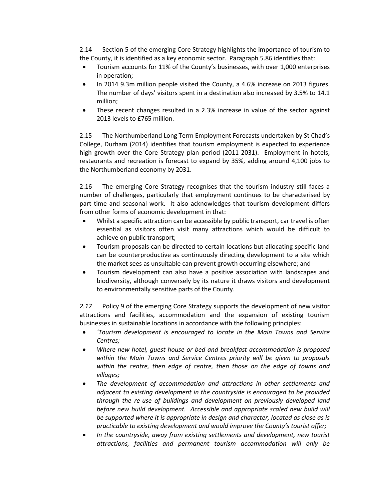2.14 Section 5 of the emerging Core Strategy highlights the importance of tourism to the County, it is identified as a key economic sector. Paragraph 5.86 identifies that:

- Tourism accounts for 11% of the County's businesses, with over 1,000 enterprises in operation;
- In 2014 9.3m million people visited the County, a 4.6% increase on 2013 figures. The number of days' visitors spent in a destination also increased by 3.5% to 14.1 million;
- These recent changes resulted in a 2.3% increase in value of the sector against 2013 levels to £765 million.

2.15 The Northumberland Long Term Employment Forecasts undertaken by St Chad's College, Durham (2014) identifies that tourism employment is expected to experience high growth over the Core Strategy plan period (2011-2031). Employment in hotels, restaurants and recreation is forecast to expand by 35%, adding around 4,100 jobs to the Northumberland economy by 2031.

2.16 The emerging Core Strategy recognises that the tourism industry still faces a number of challenges, particularly that employment continues to be characterised by part time and seasonal work. It also acknowledges that tourism development differs from other forms of economic development in that:

- Whilst a specific attraction can be accessible by public transport, car travel is often essential as visitors often visit many attractions which would be difficult to achieve on public transport;
- Tourism proposals can be directed to certain locations but allocating specific land can be counterproductive as continuously directing development to a site which the market sees as unsuitable can prevent growth occurring elsewhere; and
- Tourism development can also have a positive association with landscapes and biodiversity, although conversely by its nature it draws visitors and development to environmentally sensitive parts of the County.

*2.17* Policy 9 of the emerging Core Strategy supports the development of new visitor attractions and facilities, accommodation and the expansion of existing tourism businesses in sustainable locations in accordance with the following principles:

- *'Tourism development is encouraged to locate in the Main Towns and Service Centres;*
- *Where new hotel, guest house or bed and breakfast accommodation is proposed within the Main Towns and Service Centres priority will be given to proposals within the centre, then edge of centre, then those on the edge of towns and villages;*
- *The development of accommodation and attractions in other settlements and adjacent to existing development in the countryside is encouraged to be provided through the re-use of buildings and development on previously developed land*  before new build development. Accessible and appropriate scaled new build will *be supported where it is appropriate in design and character, located as close as is practicable to existing development and would improve the County's tourist offer;*
- *In the countryside, away from existing settlements and development, new tourist attractions, facilities and permanent tourism accommodation will only be*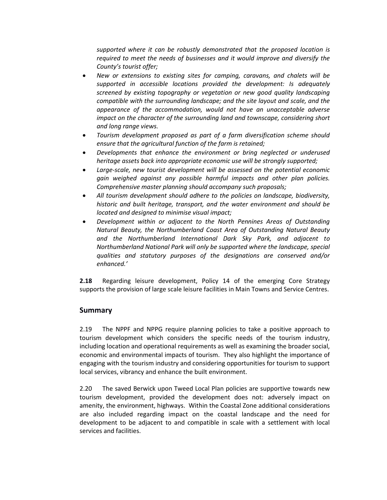*supported where it can be robustly demonstrated that the proposed location is required to meet the needs of businesses and it would improve and diversify the County's tourist offer;*

- *New or extensions to existing sites for camping, caravans, and chalets will be supported in accessible locations provided the development: Is adequately screened by existing topography or vegetation or new good quality landscaping compatible with the surrounding landscape; and the site layout and scale, and the appearance of the accommodation, would not have an unacceptable adverse impact on the character of the surrounding land and townscape, considering short and long range views.*
- *Tourism development proposed as part of a farm diversification scheme should ensure that the agricultural function of the farm is retained;*
- *Developments that enhance the environment or bring neglected or underused heritage assets back into appropriate economic use will be strongly supported;*
- *Large-scale, new tourist development will be assessed on the potential economic gain weighed against any possible harmful impacts and other plan policies. Comprehensive master planning should accompany such proposals;*
- *All tourism development should adhere to the policies on landscape, biodiversity, historic and built heritage, transport, and the water environment and should be located and designed to minimise visual impact;*
- *Development within or adjacent to the North Pennines Areas of Outstanding Natural Beauty, the Northumberland Coast Area of Outstanding Natural Beauty and the Northumberland International Dark Sky Park, and adjacent to Northumberland National Park will only be supported where the landscape, special qualities and statutory purposes of the designations are conserved and/or enhanced.'*

**2.18** Regarding leisure development, Policy 14 of the emerging Core Strategy supports the provision of large scale leisure facilities in Main Towns and Service Centres.

## <span id="page-8-0"></span>**Summary**

2.19 The NPPF and NPPG require planning policies to take a positive approach to tourism development which considers the specific needs of the tourism industry, including location and operational requirements as well as examining the broader social, economic and environmental impacts of tourism. They also highlight the importance of engaging with the tourism industry and considering opportunities for tourism to support local services, vibrancy and enhance the built environment.

2.20 The saved Berwick upon Tweed Local Plan policies are supportive towards new tourism development, provided the development does not: adversely impact on amenity, the environment, highways. Within the Coastal Zone additional considerations are also included regarding impact on the coastal landscape and the need for development to be adjacent to and compatible in scale with a settlement with local services and facilities.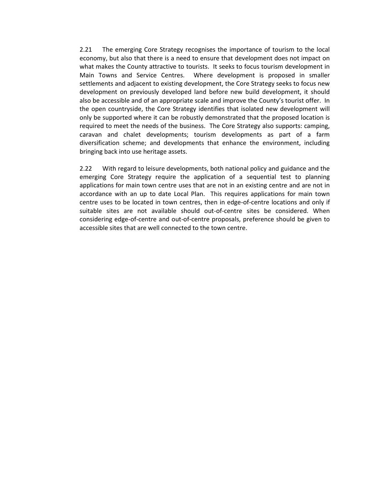2.21 The emerging Core Strategy recognises the importance of tourism to the local economy, but also that there is a need to ensure that development does not impact on what makes the County attractive to tourists. It seeks to focus tourism development in Main Towns and Service Centres. Where development is proposed in smaller settlements and adjacent to existing development, the Core Strategy seeks to focus new development on previously developed land before new build development, it should also be accessible and of an appropriate scale and improve the County's tourist offer. In the open countryside, the Core Strategy identifies that isolated new development will only be supported where it can be robustly demonstrated that the proposed location is required to meet the needs of the business. The Core Strategy also supports: camping, caravan and chalet developments; tourism developments as part of a farm diversification scheme; and developments that enhance the environment, including bringing back into use heritage assets.

2.22 With regard to leisure developments, both national policy and guidance and the emerging Core Strategy require the application of a sequential test to planning applications for main town centre uses that are not in an existing centre and are not in accordance with an up to date Local Plan. This requires applications for main town centre uses to be located in town centres, then in edge-of-centre locations and only if suitable sites are not available should out-of-centre sites be considered. When considering edge-of-centre and out-of-centre proposals, preference should be given to accessible sites that are well connected to the town centre.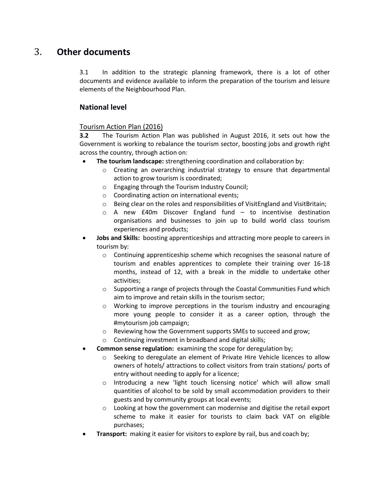## <span id="page-10-0"></span>3. **Other documents**

3.1 In addition to the strategic planning framework, there is a lot of other documents and evidence available to inform the preparation of the tourism and leisure elements of the Neighbourhood Plan.

## <span id="page-10-1"></span>**National level**

### Tourism Action Plan (2016)

**3.2** The Tourism Action Plan was published in August 2016, it sets out how the Government is working to rebalance the tourism sector, boosting jobs and growth right across the country, through action on:

- **The tourism landscape:** strengthening coordination and collaboration by:
	- o Creating an overarching industrial strategy to ensure that departmental action to grow tourism is coordinated;
	- o Engaging through the Tourism Industry Council;
	- o Coordinating action on international events;
	- o Being clear on the roles and responsibilities of VisitEngland and VisitBritain;
	- $\circ$  A new £40m Discover England fund to incentivise destination organisations and businesses to join up to build world class tourism experiences and products;
- **Jobs and Skills:** boosting apprenticeships and attracting more people to careers in tourism by:
	- $\circ$  Continuing apprenticeship scheme which recognises the seasonal nature of tourism and enables apprentices to complete their training over 16-18 months, instead of 12, with a break in the middle to undertake other activities;
	- $\circ$  Supporting a range of projects through the Coastal Communities Fund which aim to improve and retain skills in the tourism sector;
	- o Working to improve perceptions in the tourism industry and encouraging more young people to consider it as a career option, through the #mytourism job campaign;
	- o Reviewing how the Government supports SMEs to succeed and grow;
	- o Continuing investment in broadband and digital skills;
- **Common sense regulation:** examining the scope for deregulation by;
	- o Seeking to deregulate an element of Private Hire Vehicle licences to allow owners of hotels/ attractions to collect visitors from train stations/ ports of entry without needing to apply for a licence;
	- o Introducing a new 'light touch licensing notice' which will allow small quantities of alcohol to be sold by small accommodation providers to their guests and by community groups at local events;
	- Looking at how the government can modernise and digitise the retail export scheme to make it easier for tourists to claim back VAT on eligible purchases;
- **Transport:** making it easier for visitors to explore by rail, bus and coach by;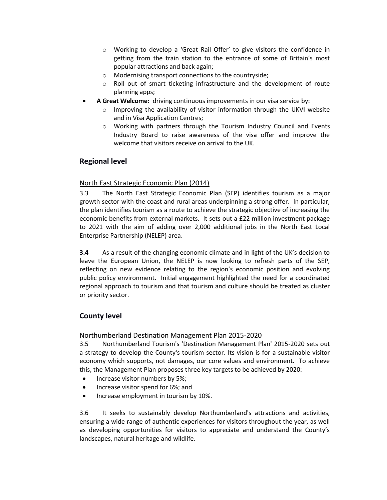- o Working to develop a 'Great Rail Offer' to give visitors the confidence in getting from the train station to the entrance of some of Britain's most popular attractions and back again;
- o Modernising transport connections to the countryside;
- Roll out of smart ticketing infrastructure and the development of route planning apps;
- **A Great Welcome:** driving continuous improvements in our visa service by:
	- o Improving the availability of visitor information through the UKVI website and in Visa Application Centres;
	- o Working with partners through the Tourism Industry Council and Events Industry Board to raise awareness of the visa offer and improve the welcome that visitors receive on arrival to the UK.

## <span id="page-11-0"></span>**Regional level**

### North East Strategic Economic Plan (2014)

3.3 The North East Strategic Economic Plan (SEP) identifies tourism as a major growth sector with the coast and rural areas underpinning a strong offer. In particular, the plan identifies tourism as a route to achieve the strategic objective of increasing the economic benefits from external markets. It sets out a £22 million investment package to 2021 with the aim of adding over 2,000 additional jobs in the North East Local Enterprise Partnership (NELEP) area.

**3.4** As a result of the changing economic climate and in light of the UK's decision to leave the European Union, the NELEP is now looking to refresh parts of the SEP, reflecting on new evidence relating to the region's economic position and evolving public policy environment. Initial engagement highlighted the need for a coordinated regional approach to tourism and that tourism and culture should be treated as cluster or priority sector.

## <span id="page-11-1"></span>**County level**

## Northumberland Destination Management Plan 2015-2020

3.5 Northumberland Tourism's 'Destination Management Plan' 2015-2020 sets out a strategy to develop the County's tourism sector. Its vision is for a sustainable visitor economy which supports, not damages, our core values and environment. To achieve this, the Management Plan proposes three key targets to be achieved by 2020:

- Increase visitor numbers by 5%;
- Increase visitor spend for 6%; and
- Increase employment in tourism by 10%.

3.6 It seeks to sustainably develop Northumberland's attractions and activities, ensuring a wide range of authentic experiences for visitors throughout the year, as well as developing opportunities for visitors to appreciate and understand the County's landscapes, natural heritage and wildlife.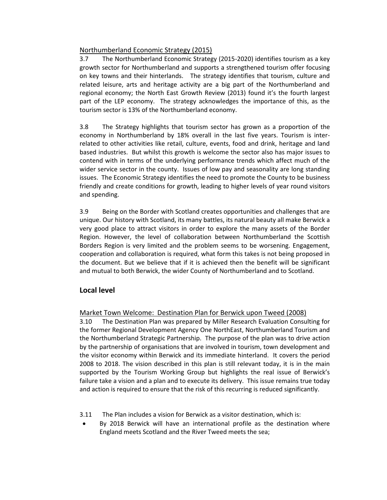## Northumberland Economic Strategy (2015)

3.7 The Northumberland Economic Strategy (2015-2020) identifies tourism as a key growth sector for Northumberland and supports a strengthened tourism offer focusing on key towns and their hinterlands. The strategy identifies that tourism, culture and related leisure, arts and heritage activity are a big part of the Northumberland and regional economy; the North East Growth Review (2013) found it's the fourth largest part of the LEP economy. The strategy acknowledges the importance of this, as the tourism sector is 13% of the Northumberland economy.

3.8 The Strategy highlights that tourism sector has grown as a proportion of the economy in Northumberland by 18% overall in the last five years. Tourism is interrelated to other activities like retail, culture, events, food and drink, heritage and land based industries. But whilst this growth is welcome the sector also has major issues to contend with in terms of the underlying performance trends which affect much of the wider service sector in the county. Issues of low pay and seasonality are long standing issues. The Economic Strategy identifies the need to promote the County to be business friendly and create conditions for growth, leading to higher levels of year round visitors and spending.

3.9 Being on the Border with Scotland creates opportunities and challenges that are unique. Our history with Scotland, its many battles, its natural beauty all make Berwick a very good place to attract visitors in order to explore the many assets of the Border Region. However, the level of collaboration between Northumberland the Scottish Borders Region is very limited and the problem seems to be worsening. Engagement, cooperation and collaboration is required, what form this takes is not being proposed in the document. But we believe that if it is achieved then the benefit will be significant and mutual to both Berwick, the wider County of Northumberland and to Scotland.

## **Local level**

## Market Town Welcome: Destination Plan for Berwick upon Tweed (2008)

3.10 The Destination Plan was prepared by Miller Research Evaluation Consulting for the former Regional Development Agency One NorthEast, Northumberland Tourism and the Northumberland Strategic Partnership. The purpose of the plan was to drive action by the partnership of organisations that are involved in tourism, town development and the visitor economy within Berwick and its immediate hinterland. It covers the period 2008 to 2018. The vision described in this plan is still relevant today, it is in the main supported by the Tourism Working Group but highlights the real issue of Berwick's failure take a vision and a plan and to execute its delivery. This issue remains true today and action is required to ensure that the risk of this recurring is reduced significantly.

- 3.11 The Plan includes a vision for Berwick as a visitor destination, which is:
- By 2018 Berwick will have an international profile as the destination where England meets Scotland and the River Tweed meets the sea;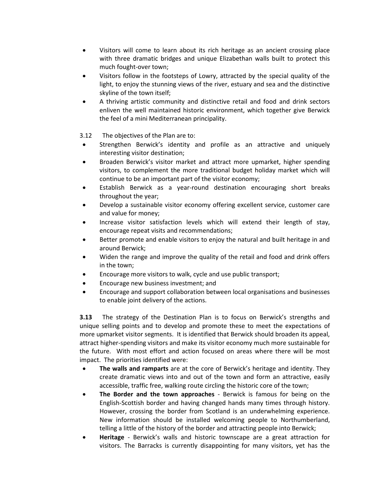- Visitors will come to learn about its rich heritage as an ancient crossing place with three dramatic bridges and unique Elizabethan walls built to protect this much fought‐over town;
- Visitors follow in the footsteps of Lowry, attracted by the special quality of the light, to enjoy the stunning views of the river, estuary and sea and the distinctive skyline of the town itself;
- A thriving artistic community and distinctive retail and food and drink sectors enliven the well maintained historic environment, which together give Berwick the feel of a mini Mediterranean principality.

3.12 The objectives of the Plan are to:

- Strengthen Berwick's identity and profile as an attractive and uniquely interesting visitor destination;
- Broaden Berwick's visitor market and attract more upmarket, higher spending visitors, to complement the more traditional budget holiday market which will continue to be an important part of the visitor economy;
- Establish Berwick as a year-round destination encouraging short breaks throughout the year;
- Develop a sustainable visitor economy offering excellent service, customer care and value for money;
- Increase visitor satisfaction levels which will extend their length of stay, encourage repeat visits and recommendations;
- Better promote and enable visitors to enjoy the natural and built heritage in and around Berwick;
- Widen the range and improve the quality of the retail and food and drink offers in the town;
- Encourage more visitors to walk, cycle and use public transport;
- Encourage new business investment; and
- Encourage and support collaboration between local organisations and businesses to enable joint delivery of the actions.

**3.13** The strategy of the Destination Plan is to focus on Berwick's strengths and unique selling points and to develop and promote these to meet the expectations of more upmarket visitor segments. It is identified that Berwick should broaden its appeal, attract higher‐spending visitors and make its visitor economy much more sustainable for the future. With most effort and action focused on areas where there will be most impact. The priorities identified were:

- **The walls and ramparts** are at the core of Berwick's heritage and identity. They create dramatic views into and out of the town and form an attractive, easily accessible, traffic free, walking route circling the historic core of the town;
- **The Border and the town approaches** Berwick is famous for being on the English‐Scottish border and having changed hands many times through history. However, crossing the border from Scotland is an underwhelming experience. New information should be installed welcoming people to Northumberland, telling a little of the history of the border and attracting people into Berwick;
- **Heritage**  Berwick's walls and historic townscape are a great attraction for visitors. The Barracks is currently disappointing for many visitors, yet has the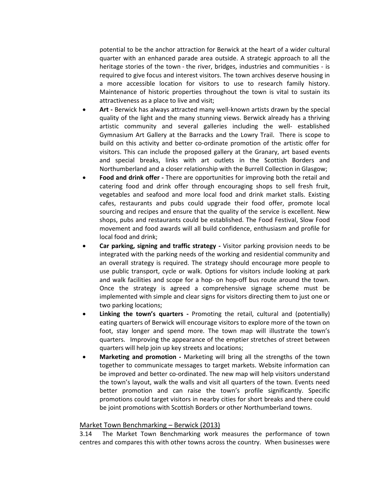potential to be the anchor attraction for Berwick at the heart of a wider cultural quarter with an enhanced parade area outside. A strategic approach to all the heritage stories of the town - the river, bridges, industries and communities - is required to give focus and interest visitors. The town archives deserve housing in a more accessible location for visitors to use to research family history. Maintenance of historic properties throughout the town is vital to sustain its attractiveness as a place to live and visit;

- **Art -** Berwick has always attracted many well-known artists drawn by the special quality of the light and the many stunning views. Berwick already has a thriving artistic community and several galleries including the well‐ established Gymnasium Art Gallery at the Barracks and the Lowry Trail. There is scope to build on this activity and better co‐ordinate promotion of the artistic offer for visitors. This can include the proposed gallery at the Granary, art based events and special breaks, links with art outlets in the Scottish Borders and Northumberland and a closer relationship with the Burrell Collection in Glasgow;
- **Food and drink offer -** There are opportunities for improving both the retail and catering food and drink offer through encouraging shops to sell fresh fruit, vegetables and seafood and more local food and drink market stalls. Existing cafes, restaurants and pubs could upgrade their food offer, promote local sourcing and recipes and ensure that the quality of the service is excellent. New shops, pubs and restaurants could be established. The Food Festival, Slow Food movement and food awards will all build confidence, enthusiasm and profile for local food and drink;
- **Car parking, signing and traffic strategy -** Visitor parking provision needs to be integrated with the parking needs of the working and residential community and an overall strategy is required. The strategy should encourage more people to use public transport, cycle or walk. Options for visitors include looking at park and walk facilities and scope for a hop- on hop-off bus route around the town. Once the strategy is agreed a comprehensive signage scheme must be implemented with simple and clear signs for visitors directing them to just one or two parking locations;
- **Linking the town's quarters -** Promoting the retail, cultural and (potentially) eating quarters of Berwick will encourage visitors to explore more of the town on foot, stay longer and spend more. The town map will illustrate the town's quarters. Improving the appearance of the emptier stretches of street between quarters will help join up key streets and locations;
- **Marketing and promotion -** Marketing will bring all the strengths of the town together to communicate messages to target markets. Website information can be improved and better co-ordinated. The new map will help visitors understand the town's layout, walk the walls and visit all quarters of the town. Events need better promotion and can raise the town's profile significantly. Specific promotions could target visitors in nearby cities for short breaks and there could be joint promotions with Scottish Borders or other Northumberland towns.

#### Market Town Benchmarking – Berwick (2013)

3.14 The Market Town Benchmarking work measures the performance of town centres and compares this with other towns across the country. When businesses were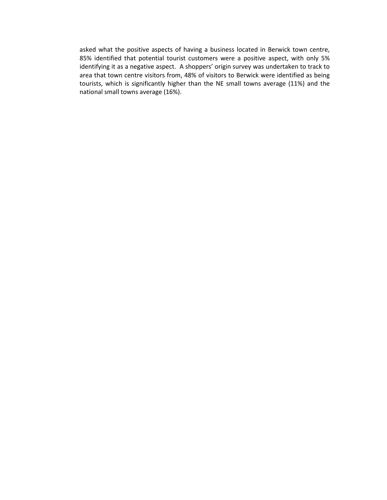asked what the positive aspects of having a business located in Berwick town centre, 85% identified that potential tourist customers were a positive aspect, with only 5% identifying it as a negative aspect. A shoppers' origin survey was undertaken to track to area that town centre visitors from, 48% of visitors to Berwick were identified as being tourists, which is significantly higher than the NE small towns average (11%) and the national small towns average (16%).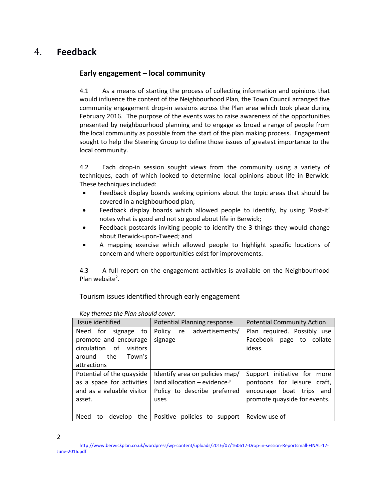## <span id="page-16-0"></span>4. **Feedback**

## **Early engagement – local community**

4.1 As a means of starting the process of collecting information and opinions that would influence the content of the Neighbourhood Plan, the Town Council arranged five community engagement drop-in sessions across the Plan area which took place during February 2016. The purpose of the events was to raise awareness of the opportunities presented by neighbourhood planning and to engage as broad a range of people from the local community as possible from the start of the plan making process. Engagement sought to help the Steering Group to define those issues of greatest importance to the local community.

4.2 Each drop-in session sought views from the community using a variety of techniques, each of which looked to determine local opinions about life in Berwick. These techniques included:

- Feedback display boards seeking opinions about the topic areas that should be covered in a neighbourhood plan;
- Feedback display boards which allowed people to identify, by using 'Post-it' notes what is good and not so good about life in Berwick;
- Feedback postcards inviting people to identify the 3 things they would change about Berwick-upon-Tweed; and
- A mapping exercise which allowed people to highlight specific locations of concern and where opportunities exist for improvements.

4.3 A full report on the engagement activities is available on the Neighbourhood Plan website<sup>2</sup>.

## Tourism issues identified through early engagement

| Issue identified                                                                                                     | Potential Planning response                                                                           | <b>Potential Community Action</b>                                                                                      |
|----------------------------------------------------------------------------------------------------------------------|-------------------------------------------------------------------------------------------------------|------------------------------------------------------------------------------------------------------------------------|
| Need for signage<br>to<br>promote and encourage<br>circulation of<br>visitors<br>around the<br>Town's<br>attractions | Policy re advertisements/<br>signage                                                                  | Plan required. Possibly use<br>Facebook page to collate<br>ideas.                                                      |
| Potential of the quayside<br>as a space for activities<br>and as a valuable visitor<br>asset.                        | Identify area on policies map/<br>land allocation – evidence?<br>Policy to describe preferred<br>uses | Support initiative for more<br>pontoons for leisure craft,<br>encourage boat trips and<br>promote quayside for events. |
| the<br>Need<br>develop<br>to                                                                                         | Positive policies to support   Review use of                                                          |                                                                                                                        |

*Key themes the Plan should cover:*

 $\overline{a}$ 2

[http://www.berwickplan.co.uk/wordpress/wp-content/uploads/2016/07/160617-Drop-in-session-Reportsmall-FINAL-17-](http://www.berwickplan.co.uk/wordpress/wp-content/uploads/2016/07/160617-Drop-in-session-Reportsmall-FINAL-17-June-2016.pdf) [June-2016.pdf](http://www.berwickplan.co.uk/wordpress/wp-content/uploads/2016/07/160617-Drop-in-session-Reportsmall-FINAL-17-June-2016.pdf)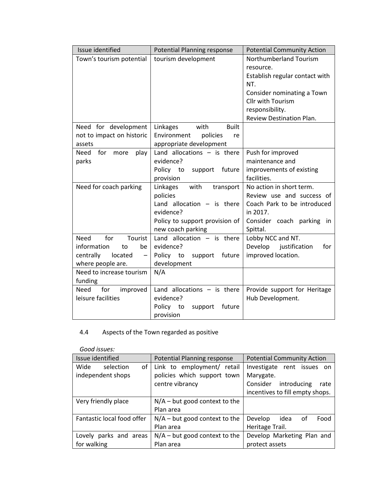| Issue identified                          | <b>Potential Planning response</b> | <b>Potential Community Action</b> |
|-------------------------------------------|------------------------------------|-----------------------------------|
| Town's tourism potential                  | tourism development                | Northumberland Tourism            |
|                                           |                                    | resource.                         |
|                                           |                                    | Establish regular contact with    |
|                                           |                                    | NT.                               |
|                                           |                                    | Consider nominating a Town        |
|                                           |                                    | Cllr with Tourism                 |
|                                           |                                    | responsibility.                   |
|                                           |                                    | Review Destination Plan.          |
| Need for development                      | Linkages<br>with<br><b>Built</b>   |                                   |
| not to impact on historic                 | Environment<br>policies<br>re      |                                   |
| assets                                    | appropriate development            |                                   |
| for<br>play<br>Need<br>more               | Land allocations $-$ is there      | Push for improved                 |
| parks                                     | evidence?                          | maintenance and                   |
|                                           | Policy to<br>future<br>support     | improvements of existing          |
|                                           | provision                          | facilities.                       |
| Need for coach parking                    | with<br>Linkages<br>transport      | No action in short term.          |
|                                           | policies                           | Review use and success of         |
|                                           | Land allocation $-$ is there       | Coach Park to be introduced       |
|                                           | evidence?                          | in 2017.                          |
|                                           | Policy to support provision of     | Consider coach parking<br>in.     |
|                                           | new coach parking                  | Spittal.                          |
| for<br>Need<br>Tourist                    | Land allocation $-$ is there       | Lobby NCC and NT.                 |
| information<br>to<br>be                   | evidence?                          | Develop justification<br>for      |
| centrally<br>located<br>$\qquad \qquad -$ | Policy to<br>support<br>future     | improved location.                |
| where people are.                         | development                        |                                   |
| Need to increase tourism                  | N/A                                |                                   |
| funding                                   |                                    |                                   |
| for<br>Need<br>improved                   | Land allocations $-$ is there      | Provide support for Heritage      |
| leisure facilities                        | evidence?                          | Hub Development.                  |
|                                           | Policy to<br>support<br>future     |                                   |
|                                           | provision                          |                                   |

## 4.4 Aspects of the Town regarded as positive

| Good issues:               |                                 |                                   |
|----------------------------|---------------------------------|-----------------------------------|
| Issue identified           | Potential Planning response     | <b>Potential Community Action</b> |
| of<br>Wide<br>selection    | Link to employment/ retail      | Investigate rent issues<br>- on   |
| independent shops          | policies which support town     | Marygate.                         |
|                            | centre vibrancy                 | Consider<br>introducing<br>rate   |
|                            |                                 | incentives to fill empty shops.   |
| Very friendly place        | $N/A$ – but good context to the |                                   |
|                            | Plan area                       |                                   |
| Fantastic local food offer | $N/A$ – but good context to the | idea<br>Develop<br>оf<br>Food     |
|                            | Plan area                       | Heritage Trail.                   |
| Lovely parks and areas     | $N/A$ – but good context to the | Develop Marketing Plan and        |
| for walking                | Plan area                       | protect assets                    |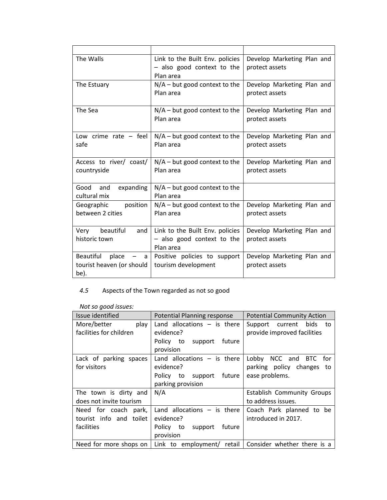| The Walls                                                           | Link to the Built Env. policies<br>- also good context to the<br>Plan area | Develop Marketing Plan and<br>protect assets |
|---------------------------------------------------------------------|----------------------------------------------------------------------------|----------------------------------------------|
| The Estuary                                                         | $N/A$ – but good context to the<br>Plan area                               | Develop Marketing Plan and<br>protect assets |
| The Sea                                                             | $N/A$ – but good context to the<br>Plan area                               | Develop Marketing Plan and<br>protect assets |
| Low crime rate $-$ feel<br>safe                                     | $N/A$ – but good context to the<br>Plan area                               | Develop Marketing Plan and<br>protect assets |
| Access to river/ coast/<br>countryside                              | $N/A$ – but good context to the<br>Plan area                               | Develop Marketing Plan and<br>protect assets |
| Good and<br>expanding<br>cultural mix                               | $N/A$ – but good context to the<br>Plan area                               |                                              |
| position<br>Geographic<br>between 2 cities                          | $N/A$ – but good context to the<br>Plan area                               | Develop Marketing Plan and<br>protect assets |
| Very beautiful<br>and<br>historic town                              | Link to the Built Env. policies<br>- also good context to the<br>Plan area | Develop Marketing Plan and<br>protect assets |
| <b>Beautiful</b><br>place<br>a<br>tourist heaven (or should<br>be). | Positive policies to support<br>tourism development                        | Develop Marketing Plan and<br>protect assets |

## *4.5* Aspects of the Town regarded as not so good

| Not so good issues: |  |
|---------------------|--|
|                     |  |

| Issue identified        | Potential Planning response                                                       | <b>Potential Community Action</b> |
|-------------------------|-----------------------------------------------------------------------------------|-----------------------------------|
| More/better<br>play     | Land allocations $-$ is there                                                     | Support current bids<br>to        |
| facilities for children | evidence?                                                                         | provide improved facilities       |
|                         | Policy to support<br>future<br>provision                                          |                                   |
| Lack of parking spaces  | Land allocations $-$ is there                                                     | Lobby NCC and BTC for             |
| for visitors            | evidence?                                                                         | parking policy changes<br>to      |
|                         | Policy to support future                                                          | ease problems.                    |
|                         | parking provision                                                                 |                                   |
| The town is dirty and   | N/A                                                                               | <b>Establish Community Groups</b> |
| does not invite tourism |                                                                                   | to address issues.                |
| Need for coach park,    | Land allocations $-$ is there                                                     | Coach Park planned to be          |
| tourist info and toilet | evidence?                                                                         | introduced in 2017.               |
| facilities              | Policy to<br>future<br>support                                                    |                                   |
|                         | provision                                                                         |                                   |
|                         | Need for more shops on   Link to employment/ retail   Consider whether there is a |                                   |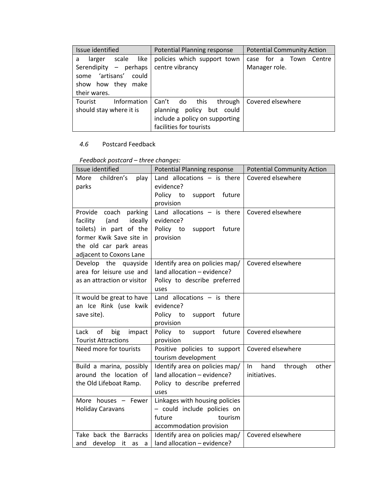| Issue identified             | Potential Planning response    | <b>Potential Community Action</b> |
|------------------------------|--------------------------------|-----------------------------------|
| like<br>scale<br>larger<br>a | policies which support town    | for a Town<br>Centre<br>case      |
| Serendipity - perhaps        | centre vibrancy                | Manager role.                     |
| artisans'<br>could<br>some   |                                |                                   |
| show how they<br>make        |                                |                                   |
| their wares.                 |                                |                                   |
| Information<br>Tourist       | Can't do this<br>through       | Covered elsewhere                 |
| should stay where it is      | policy but could<br>planning   |                                   |
|                              | include a policy on supporting |                                   |
|                              | facilities for tourists        |                                   |

## *4.6* Postcard Feedback

| Issue identified            | <b>Potential Planning response</b> | <b>Potential Community Action</b> |
|-----------------------------|------------------------------------|-----------------------------------|
| children's<br>More<br>play  | Land allocations $-$ is there      | Covered elsewhere                 |
| parks                       | evidence?                          |                                   |
|                             | Policy to<br>support<br>future     |                                   |
|                             | provision                          |                                   |
| Provide coach parking       | Land allocations $-$ is there      | Covered elsewhere                 |
| (and<br>ideally<br>facility | evidence?                          |                                   |
| toilets) in part of the     | Policy to<br>support<br>future     |                                   |
| former Kwik Save site in    | provision                          |                                   |
| the old car park areas      |                                    |                                   |
| adjacent to Coxons Lane     |                                    |                                   |
| Develop the quayside        | Identify area on policies map/     | Covered elsewhere                 |
| area for leisure use and    | land allocation - evidence?        |                                   |
| as an attraction or visitor | Policy to describe preferred       |                                   |
|                             | uses                               |                                   |
| It would be great to have   | Land allocations $-$ is there      |                                   |
| an Ice Rink (use kwik       | evidence?                          |                                   |
| save site).                 | Policy to<br>support<br>future     |                                   |
|                             | provision                          |                                   |
| Lack<br>of<br>big<br>impact | Policy to<br>future<br>support     | Covered elsewhere                 |
| <b>Tourist Attractions</b>  | provision                          |                                   |
| Need more for tourists      | Positive policies to support       | Covered elsewhere                 |
|                             | tourism development                |                                   |
| Build a marina, possibly    | Identify area on policies map/     | hand<br>through<br>$\ln$<br>other |
| around the location of      | land allocation - evidence?        | initiatives.                      |
| the Old Lifeboat Ramp.      | Policy to describe preferred       |                                   |
|                             | uses                               |                                   |
| More houses - Fewer         | Linkages with housing policies     |                                   |
| <b>Holiday Caravans</b>     | - could include policies on        |                                   |
|                             | future<br>tourism                  |                                   |
|                             | accommodation provision            |                                   |
| Take back the Barracks      | Identify area on policies map/     | Covered elsewhere                 |
| develop it as<br>and<br>a   | land allocation - evidence?        |                                   |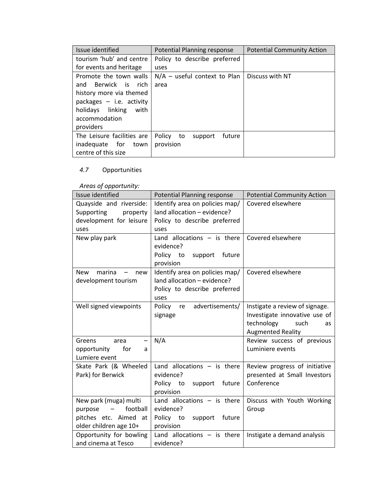| Issue identified           | Potential Planning response       | <b>Potential Community Action</b> |
|----------------------------|-----------------------------------|-----------------------------------|
| tourism 'hub' and centre   | Policy to describe preferred      |                                   |
| for events and heritage    | uses                              |                                   |
| Promote the town walls     | $N/A$ – useful context to Plan    | Discuss with NT                   |
| Berwick is rich<br>and     | area                              |                                   |
| history more via themed    |                                   |                                   |
| packages $-$ i.e. activity |                                   |                                   |
| holidays linking<br>with   |                                   |                                   |
| accommodation              |                                   |                                   |
| providers                  |                                   |                                   |
| The Leisure facilities are | Policy<br>future<br>to<br>support |                                   |
| inadequate for<br>town     | provision                         |                                   |
| centre of this size        |                                   |                                   |

## *4.7* Opportunities

## *Areas of opportunity:*

| Issue identified                           | Potential Planning response                 | <b>Potential Community Action</b> |
|--------------------------------------------|---------------------------------------------|-----------------------------------|
| Quayside and riverside:                    | Identify area on policies map/              | Covered elsewhere                 |
| Supporting<br>property                     | land allocation - evidence?                 |                                   |
| development for leisure                    | Policy to describe preferred                |                                   |
| uses                                       | uses                                        |                                   |
| New play park                              | Land allocations $-$ is there               | Covered elsewhere                 |
|                                            | evidence?                                   |                                   |
|                                            | Policy to<br>support<br>future<br>provision |                                   |
| <b>New</b><br>marina<br>new                | Identify area on policies map/              | Covered elsewhere                 |
| development tourism                        | land allocation - evidence?                 |                                   |
|                                            | Policy to describe preferred                |                                   |
|                                            | uses                                        |                                   |
| Well signed viewpoints                     | advertisements/<br>Policy<br>re             | Instigate a review of signage.    |
|                                            | signage                                     | Investigate innovative use of     |
|                                            |                                             | technology<br>such<br>as          |
|                                            |                                             | <b>Augmented Reality</b>          |
| Greens<br>area<br>$\overline{\phantom{0}}$ | N/A                                         | Review success of previous        |
| for<br>opportunity<br>a                    |                                             | Luminiere events                  |
| Lumiere event                              |                                             |                                   |
| Skate Park (& Wheeled                      | Land allocations $-$ is there               | Review progress of initiative     |
| Park) for Berwick                          | evidence?                                   | presented at Small Investors      |
|                                            | Policy to<br>future<br>support              | Conference                        |
|                                            | provision                                   |                                   |
| New park (muga) multi                      | Land allocations $-$ is there               | Discuss with Youth Working        |
| football<br>purpose<br>$\qquad \qquad -$   | evidence?                                   | Group                             |
| pitches etc. Aimed at                      | Policy to<br>support<br>future              |                                   |
| older children age 10+                     | provision                                   |                                   |
| Opportunity for bowling                    | Land allocations $-$ is there               | Instigate a demand analysis       |
| and cinema at Tesco                        | evidence?                                   |                                   |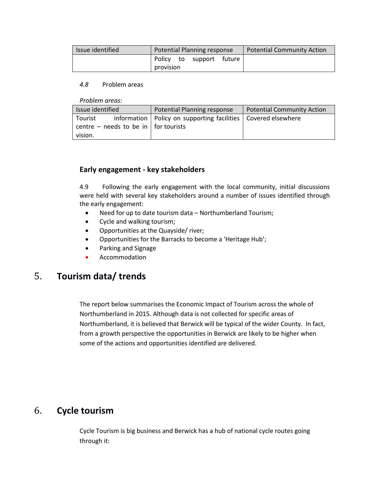| Issue identified | Potential Planning response |  |                          |  | <b>Potential Community Action</b> |
|------------------|-----------------------------|--|--------------------------|--|-----------------------------------|
|                  |                             |  | Policy to support future |  |                                   |
|                  | provision                   |  |                          |  |                                   |

#### *4.8* Problem areas

*Problem areas:*

| Issue identified                             |  | Potential Planning response                                       | Potential Community Action |
|----------------------------------------------|--|-------------------------------------------------------------------|----------------------------|
| Tourist                                      |  | information   Policy on supporting facilities   Covered elsewhere |                            |
| centre – needs to be in $\vert$ for tourists |  |                                                                   |                            |
| vision.                                      |  |                                                                   |                            |

## **Early engagement - key stakeholders**

4.9 Following the early engagement with the local community, initial discussions were held with several key stakeholders around a number of issues identified through the early engagement:

- Need for up to date tourism data Northumberland Tourism;
- Cycle and walking tourism;
- Opportunities at the Quayside/ river;
- Opportunities for the Barracks to become a 'Heritage Hub';
- Parking and Signage
- Accommodation

## <span id="page-21-0"></span>5. **Tourism data/ trends**

The report below summarises the Economic Impact of Tourism across the whole of Northumberland in 2015. Although data is not collected for specific areas of Northumberland, it is believed that Berwick will be typical of the wider County. In fact, from a growth perspective the opportunities in Berwick are likely to be higher when some of the actions and opportunities identified are delivered.

## <span id="page-21-1"></span>6. **Cycle tourism**

Cycle Tourism is big business and Berwick has a hub of national cycle routes going through it: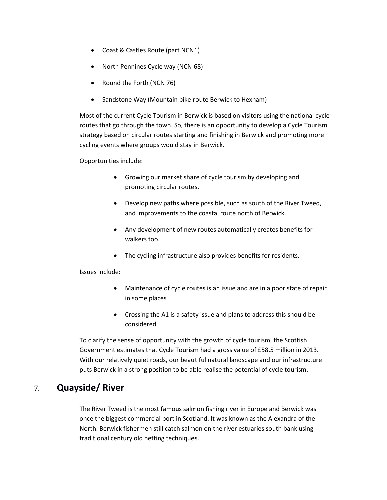- Coast & Castles Route (part NCN1)
- North Pennines Cycle way (NCN 68)
- Round the Forth (NCN 76)
- Sandstone Way (Mountain bike route Berwick to Hexham)

Most of the current Cycle Tourism in Berwick is based on visitors using the national cycle routes that go through the town. So, there is an opportunity to develop a Cycle Tourism strategy based on circular routes starting and finishing in Berwick and promoting more cycling events where groups would stay in Berwick.

Opportunities include:

- Growing our market share of cycle tourism by developing and promoting circular routes.
- Develop new paths where possible, such as south of the River Tweed, and improvements to the coastal route north of Berwick.
- Any development of new routes automatically creates benefits for walkers too.
- The cycling infrastructure also provides benefits for residents.

Issues include:

- Maintenance of cycle routes is an issue and are in a poor state of repair in some places
- Crossing the A1 is a safety issue and plans to address this should be considered.

To clarify the sense of opportunity with the growth of cycle tourism, the Scottish Government estimates that Cycle Tourism had a gross value of £58.5 million in 2013. With our relatively quiet roads, our beautiful natural landscape and our infrastructure puts Berwick in a strong position to be able realise the potential of cycle tourism.

## <span id="page-22-0"></span>7. **Quayside/ River**

The River Tweed is the most famous salmon fishing river in Europe and Berwick was once the biggest commercial port in Scotland. It was known as the Alexandra of the North. Berwick fishermen still catch salmon on the river estuaries south bank using traditional century old netting techniques.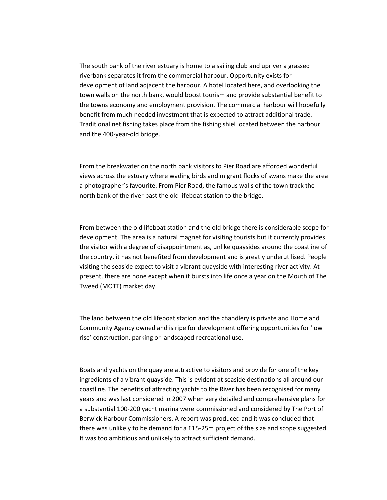The south bank of the river estuary is home to a sailing club and upriver a grassed riverbank separates it from the commercial harbour. Opportunity exists for development of land adjacent the harbour. A hotel located here, and overlooking the town walls on the north bank, would boost tourism and provide substantial benefit to the towns economy and employment provision. The commercial harbour will hopefully benefit from much needed investment that is expected to attract additional trade. Traditional net fishing takes place from the fishing shiel located between the harbour and the 400-year-old bridge.

From the breakwater on the north bank visitors to Pier Road are afforded wonderful views across the estuary where wading birds and migrant flocks of swans make the area a photographer's favourite. From Pier Road, the famous walls of the town track the north bank of the river past the old lifeboat station to the bridge.

From between the old lifeboat station and the old bridge there is considerable scope for development. The area is a natural magnet for visiting tourists but it currently provides the visitor with a degree of disappointment as, unlike quaysides around the coastline of the country, it has not benefited from development and is greatly underutilised. People visiting the seaside expect to visit a vibrant quayside with interesting river activity. At present, there are none except when it bursts into life once a year on the Mouth of The Tweed (MOTT) market day.

The land between the old lifeboat station and the chandlery is private and Home and Community Agency owned and is ripe for development offering opportunities for 'low rise' construction, parking or landscaped recreational use.

Boats and yachts on the quay are attractive to visitors and provide for one of the key ingredients of a vibrant quayside. This is evident at seaside destinations all around our coastline. The benefits of attracting yachts to the River has been recognised for many years and was last considered in 2007 when very detailed and comprehensive plans for a substantial 100-200 yacht marina were commissioned and considered by The Port of Berwick Harbour Commissioners. A report was produced and it was concluded that there was unlikely to be demand for a £15-25m project of the size and scope suggested. It was too ambitious and unlikely to attract sufficient demand.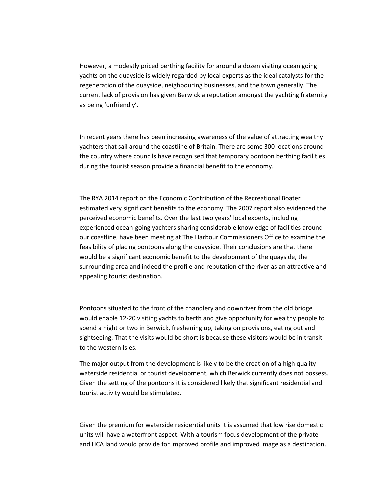However, a modestly priced berthing facility for around a dozen visiting ocean going yachts on the quayside is widely regarded by local experts as the ideal catalysts for the regeneration of the quayside, neighbouring businesses, and the town generally. The current lack of provision has given Berwick a reputation amongst the yachting fraternity as being 'unfriendly'.

In recent years there has been increasing awareness of the value of attracting wealthy yachters that sail around the coastline of Britain. There are some 300 locations around the country where councils have recognised that temporary pontoon berthing facilities during the tourist season provide a financial benefit to the economy.

The RYA 2014 report on the Economic Contribution of the Recreational Boater estimated very significant benefits to the economy. The 2007 report also evidenced the perceived economic benefits. Over the last two years' local experts, including experienced ocean-going yachters sharing considerable knowledge of facilities around our coastline, have been meeting at The Harbour Commissioners Office to examine the feasibility of placing pontoons along the quayside. Their conclusions are that there would be a significant economic benefit to the development of the quayside, the surrounding area and indeed the profile and reputation of the river as an attractive and appealing tourist destination.

Pontoons situated to the front of the chandlery and downriver from the old bridge would enable 12-20 visiting yachts to berth and give opportunity for wealthy people to spend a night or two in Berwick, freshening up, taking on provisions, eating out and sightseeing. That the visits would be short is because these visitors would be in transit to the western Isles.

The major output from the development is likely to be the creation of a high quality waterside residential or tourist development, which Berwick currently does not possess. Given the setting of the pontoons it is considered likely that significant residential and tourist activity would be stimulated.

Given the premium for waterside residential units it is assumed that low rise domestic units will have a waterfront aspect. With a tourism focus development of the private and HCA land would provide for improved profile and improved image as a destination.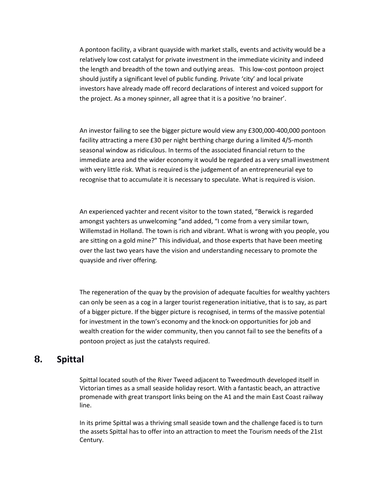A pontoon facility, a vibrant quayside with market stalls, events and activity would be a relatively low cost catalyst for private investment in the immediate vicinity and indeed the length and breadth of the town and outlying areas. This low-cost pontoon project should justify a significant level of public funding. Private 'city' and local private investors have already made off record declarations of interest and voiced support for the project. As a money spinner, all agree that it is a positive 'no brainer'.

An investor failing to see the bigger picture would view any £300,000-400,000 pontoon facility attracting a mere £30 per night berthing charge during a limited 4/5-month seasonal window as ridiculous. In terms of the associated financial return to the immediate area and the wider economy it would be regarded as a very small investment with very little risk. What is required is the judgement of an entrepreneurial eye to recognise that to accumulate it is necessary to speculate. What is required is vision.

An experienced yachter and recent visitor to the town stated, "Berwick is regarded amongst yachters as unwelcoming "and added, "I come from a very similar town, Willemstad in Holland. The town is rich and vibrant. What is wrong with you people, you are sitting on a gold mine?" This individual, and those experts that have been meeting over the last two years have the vision and understanding necessary to promote the quayside and river offering.

The regeneration of the quay by the provision of adequate faculties for wealthy yachters can only be seen as a cog in a larger tourist regeneration initiative, that is to say, as part of a bigger picture. If the bigger picture is recognised, in terms of the massive potential for investment in the town's economy and the knock-on opportunities for job and wealth creation for the wider community, then you cannot fail to see the benefits of a pontoon project as just the catalysts required.

## <span id="page-25-0"></span>**8. Spittal**

Spittal located south of the River Tweed adjacent to Tweedmouth developed itself in Victorian times as a small seaside holiday resort. With a fantastic beach, an attractive promenade with great transport links being on the A1 and the main East Coast railway line.

In its prime Spittal was a thriving small seaside town and the challenge faced is to turn the assets Spittal has to offer into an attraction to meet the Tourism needs of the 21st Century.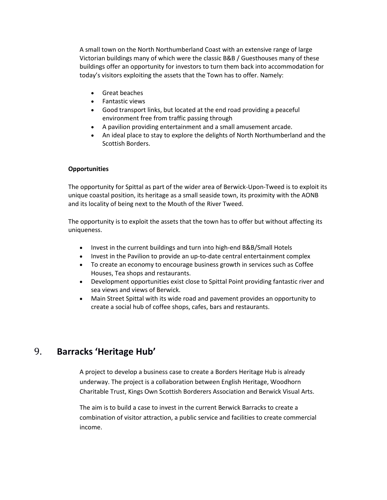A small town on the North Northumberland Coast with an extensive range of large Victorian buildings many of which were the classic B&B / Guesthouses many of these buildings offer an opportunity for investors to turn them back into accommodation for today's visitors exploiting the assets that the Town has to offer. Namely:

- Great beaches
- Fantastic views
- Good transport links, but located at the end road providing a peaceful environment free from traffic passing through
- A pavilion providing entertainment and a small amusement arcade.
- An ideal place to stay to explore the delights of North Northumberland and the Scottish Borders.

### **Opportunities**

The opportunity for Spittal as part of the wider area of Berwick-Upon-Tweed is to exploit its unique coastal position, its heritage as a small seaside town, its proximity with the AONB and its locality of being next to the Mouth of the River Tweed.

The opportunity is to exploit the assets that the town has to offer but without affecting its uniqueness.

- Invest in the current buildings and turn into high-end B&B/Small Hotels
- Invest in the Pavilion to provide an up-to-date central entertainment complex
- To create an economy to encourage business growth in services such as Coffee Houses, Tea shops and restaurants.
- Development opportunities exist close to Spittal Point providing fantastic river and sea views and views of Berwick.
- Main Street Spittal with its wide road and pavement provides an opportunity to create a social hub of coffee shops, cafes, bars and restaurants.

## <span id="page-26-0"></span>9. **Barracks 'Heritage Hub'**

A project to develop a business case to create a Borders Heritage Hub is already underway. The project is a collaboration between English Heritage, Woodhorn Charitable Trust, Kings Own Scottish Borderers Association and Berwick Visual Arts.

The aim is to build a case to invest in the current Berwick Barracks to create a combination of visitor attraction, a public service and facilities to create commercial income.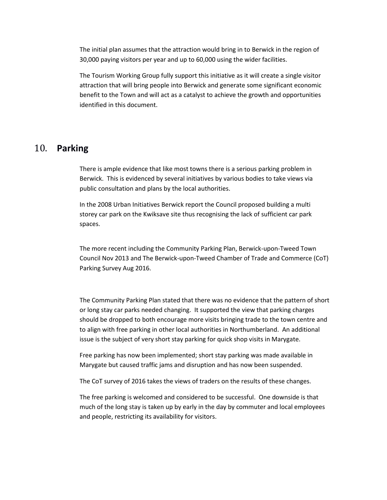The initial plan assumes that the attraction would bring in to Berwick in the region of 30,000 paying visitors per year and up to 60,000 using the wider facilities.

The Tourism Working Group fully support this initiative as it will create a single visitor attraction that will bring people into Berwick and generate some significant economic benefit to the Town and will act as a catalyst to achieve the growth and opportunities identified in this document.

## <span id="page-27-0"></span>10. **Parking**

There is ample evidence that like most towns there is a serious parking problem in Berwick. This is evidenced by several initiatives by various bodies to take views via public consultation and plans by the local authorities.

In the 2008 Urban Initiatives Berwick report the Council proposed building a multi storey car park on the Kwiksave site thus recognising the lack of sufficient car park spaces.

The more recent including the Community Parking Plan, Berwick-upon-Tweed Town Council Nov 2013 and The Berwick-upon-Tweed Chamber of Trade and Commerce (CoT) Parking Survey Aug 2016.

The Community Parking Plan stated that there was no evidence that the pattern of short or long stay car parks needed changing. It supported the view that parking charges should be dropped to both encourage more visits bringing trade to the town centre and to align with free parking in other local authorities in Northumberland. An additional issue is the subject of very short stay parking for quick shop visits in Marygate.

Free parking has now been implemented; short stay parking was made available in Marygate but caused traffic jams and disruption and has now been suspended.

The CoT survey of 2016 takes the views of traders on the results of these changes.

The free parking is welcomed and considered to be successful. One downside is that much of the long stay is taken up by early in the day by commuter and local employees and people, restricting its availability for visitors.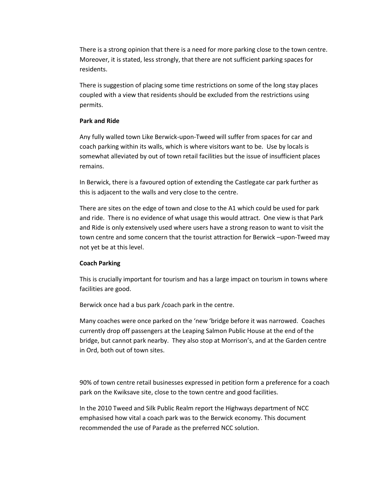There is a strong opinion that there is a need for more parking close to the town centre. Moreover, it is stated, less strongly, that there are not sufficient parking spaces for residents.

There is suggestion of placing some time restrictions on some of the long stay places coupled with a view that residents should be excluded from the restrictions using permits.

#### **Park and Ride**

Any fully walled town Like Berwick-upon-Tweed will suffer from spaces for car and coach parking within its walls, which is where visitors want to be. Use by locals is somewhat alleviated by out of town retail facilities but the issue of insufficient places remains.

In Berwick, there is a favoured option of extending the Castlegate car park further as this is adjacent to the walls and very close to the centre.

There are sites on the edge of town and close to the A1 which could be used for park and ride. There is no evidence of what usage this would attract. One view is that Park and Ride is only extensively used where users have a strong reason to want to visit the town centre and some concern that the tourist attraction for Berwick –upon-Tweed may not yet be at this level.

### **Coach Parking**

This is crucially important for tourism and has a large impact on tourism in towns where facilities are good.

Berwick once had a bus park /coach park in the centre.

Many coaches were once parked on the 'new 'bridge before it was narrowed. Coaches currently drop off passengers at the Leaping Salmon Public House at the end of the bridge, but cannot park nearby. They also stop at Morrison's, and at the Garden centre in Ord, both out of town sites.

90% of town centre retail businesses expressed in petition form a preference for a coach park on the Kwiksave site, close to the town centre and good facilities.

In the 2010 Tweed and Silk Public Realm report the Highways department of NCC emphasised how vital a coach park was to the Berwick economy. This document recommended the use of Parade as the preferred NCC solution.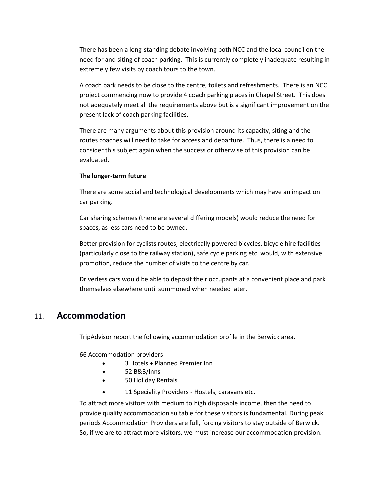There has been a long-standing debate involving both NCC and the local council on the need for and siting of coach parking. This is currently completely inadequate resulting in extremely few visits by coach tours to the town.

A coach park needs to be close to the centre, toilets and refreshments. There is an NCC project commencing now to provide 4 coach parking places in Chapel Street. This does not adequately meet all the requirements above but is a significant improvement on the present lack of coach parking facilities.

There are many arguments about this provision around its capacity, siting and the routes coaches will need to take for access and departure. Thus, there is a need to consider this subject again when the success or otherwise of this provision can be evaluated.

#### **The longer-term future**

There are some social and technological developments which may have an impact on car parking.

Car sharing schemes (there are several differing models) would reduce the need for spaces, as less cars need to be owned.

Better provision for cyclists routes, electrically powered bicycles, bicycle hire facilities (particularly close to the railway station), safe cycle parking etc. would, with extensive promotion, reduce the number of visits to the centre by car.

Driverless cars would be able to deposit their occupants at a convenient place and park themselves elsewhere until summoned when needed later.

## <span id="page-29-0"></span>11. **Accommodation**

TripAdvisor report the following accommodation profile in the Berwick area.

66 Accommodation providers

- 3 Hotels + Planned Premier Inn
- $\bullet$  52 B&B/Inns
- 50 Holiday Rentals
- 11 Speciality Providers Hostels, caravans etc.

To attract more visitors with medium to high disposable income, then the need to provide quality accommodation suitable for these visitors is fundamental. During peak periods Accommodation Providers are full, forcing visitors to stay outside of Berwick. So, if we are to attract more visitors, we must increase our accommodation provision.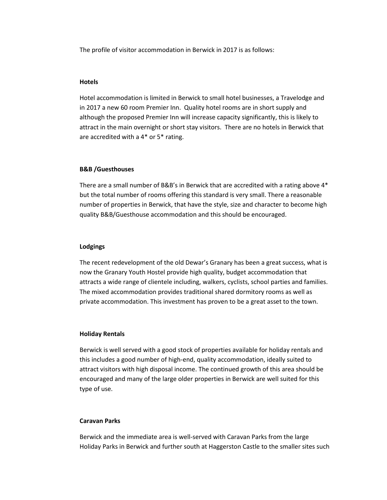The profile of visitor accommodation in Berwick in 2017 is as follows:

#### **Hotels**

Hotel accommodation is limited in Berwick to small hotel businesses, a Travelodge and in 2017 a new 60 room Premier Inn. Quality hotel rooms are in short supply and although the proposed Premier Inn will increase capacity significantly, this is likely to attract in the main overnight or short stay visitors. There are no hotels in Berwick that are accredited with a 4\* or 5\* rating.

#### **B&B /Guesthouses**

There are a small number of B&B's in Berwick that are accredited with a rating above 4\* but the total number of rooms offering this standard is very small. There a reasonable number of properties in Berwick, that have the style, size and character to become high quality B&B/Guesthouse accommodation and this should be encouraged.

#### **Lodgings**

The recent redevelopment of the old Dewar's Granary has been a great success, what is now the Granary Youth Hostel provide high quality, budget accommodation that attracts a wide range of clientele including, walkers, cyclists, school parties and families. The mixed accommodation provides traditional shared dormitory rooms as well as private accommodation. This investment has proven to be a great asset to the town.

#### **Holiday Rentals**

Berwick is well served with a good stock of properties available for holiday rentals and this includes a good number of high-end, quality accommodation, ideally suited to attract visitors with high disposal income. The continued growth of this area should be encouraged and many of the large older properties in Berwick are well suited for this type of use.

#### **Caravan Parks**

Berwick and the immediate area is well-served with Caravan Parks from the large Holiday Parks in Berwick and further south at Haggerston Castle to the smaller sites such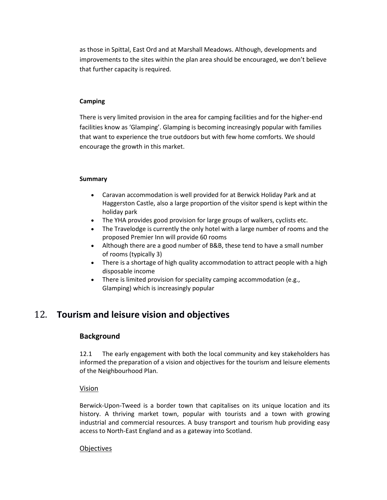as those in Spittal, East Ord and at Marshall Meadows. Although, developments and improvements to the sites within the plan area should be encouraged, we don't believe that further capacity is required.

#### **Camping**

There is very limited provision in the area for camping facilities and for the higher-end facilities know as 'Glamping'. Glamping is becoming increasingly popular with families that want to experience the true outdoors but with few home comforts. We should encourage the growth in this market.

#### **Summary**

- Caravan accommodation is well provided for at Berwick Holiday Park and at Haggerston Castle, also a large proportion of the visitor spend is kept within the holiday park
- The YHA provides good provision for large groups of walkers, cyclists etc.
- The Travelodge is currently the only hotel with a large number of rooms and the proposed Premier Inn will provide 60 rooms
- Although there are a good number of B&B, these tend to have a small number of rooms (typically 3)
- There is a shortage of high quality accommodation to attract people with a high disposable income
- There is limited provision for speciality camping accommodation (e.g., Glamping) which is increasingly popular

## <span id="page-31-0"></span>12. **Tourism and leisure vision and objectives**

## **Background**

12.1 The early engagement with both the local community and key stakeholders has informed the preparation of a vision and objectives for the tourism and leisure elements of the Neighbourhood Plan.

### Vision

Berwick-Upon-Tweed is a border town that capitalises on its unique location and its history. A thriving market town, popular with tourists and a town with growing industrial and commercial resources. A busy transport and tourism hub providing easy access to North-East England and as a gateway into Scotland.

### **Objectives**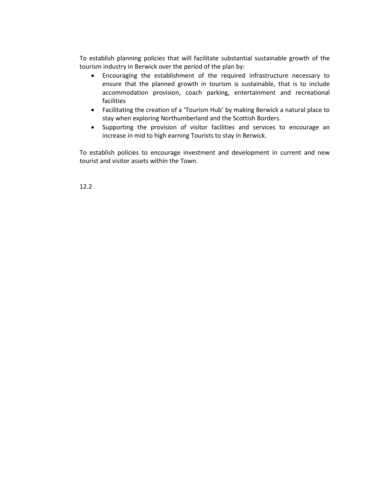To establish planning policies that will facilitate substantial sustainable growth of the tourism industry in Berwick over the period of the plan by:

- Encouraging the establishment of the required infrastructure necessary to ensure that the planned growth in tourism is sustainable, that is to include accommodation provision, coach parking, entertainment and recreational facilities
- Facilitating the creation of a 'Tourism Hub' by making Berwick a natural place to stay when exploring Northumberland and the Scottish Borders.
- Supporting the provision of visitor facilities and services to encourage an increase in mid to high earning Tourists to stay in Berwick.

To establish policies to encourage investment and development in current and new tourist and visitor assets within the Town.

12.2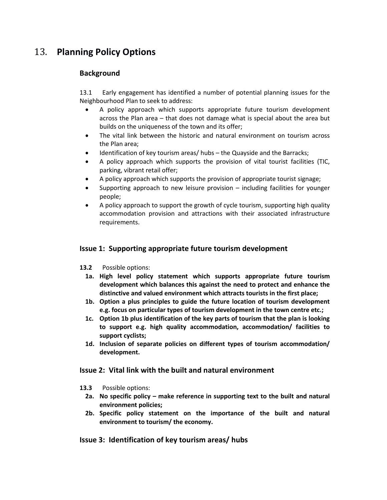## <span id="page-33-0"></span>13. **Planning Policy Options**

## **Background**

13.1 Early engagement has identified a number of potential planning issues for the Neighbourhood Plan to seek to address:

- A policy approach which supports appropriate future tourism development across the Plan area – that does not damage what is special about the area but builds on the uniqueness of the town and its offer;
- The vital link between the historic and natural environment on tourism across the Plan area;
- Identification of key tourism areas/ hubs the Quayside and the Barracks;
- A policy approach which supports the provision of vital tourist facilities (TIC, parking, vibrant retail offer;
- A policy approach which supports the provision of appropriate tourist signage;
- Supporting approach to new leisure provision including facilities for younger people;
- A policy approach to support the growth of cycle tourism, supporting high quality accommodation provision and attractions with their associated infrastructure requirements.

## **Issue 1: Supporting appropriate future tourism development**

- **13.2** Possible options:
	- **1a. High level policy statement which supports appropriate future tourism development which balances this against the need to protect and enhance the distinctive and valued environment which attracts tourists in the first place;**
	- **1b. Option a plus principles to guide the future location of tourism development e.g. focus on particular types of tourism development in the town centre etc.;**
	- **1c. Option 1b plus identification of the key parts of tourism that the plan is looking to support e.g. high quality accommodation, accommodation/ facilities to support cyclists;**
	- **1d. Inclusion of separate policies on different types of tourism accommodation/ development.**

## **Issue 2: Vital link with the built and natural environment**

- **13.3** Possible options:
	- **2a. No specific policy – make reference in supporting text to the built and natural environment policies;**
	- **2b. Specific policy statement on the importance of the built and natural environment to tourism/ the economy.**

## **Issue 3: Identification of key tourism areas/ hubs**